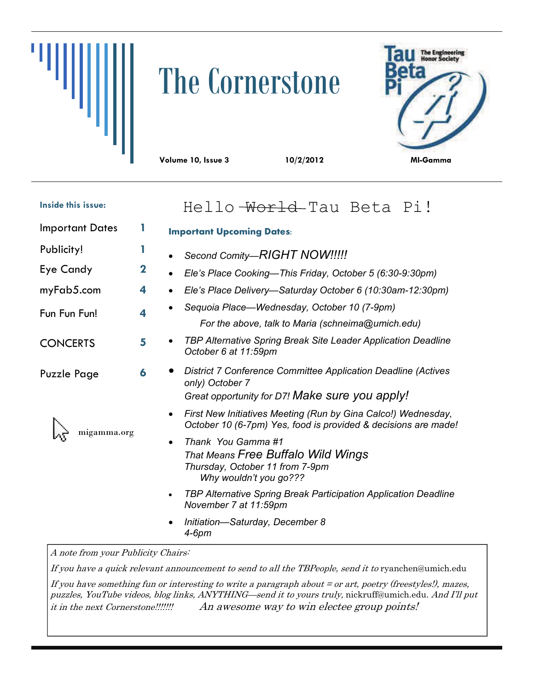## The Cornerstone



|                        |             | Volume 10, Issue 3                                                    | 10/2/2012                                                                                                                       | MI-Gamma |  |  |  |  |  |  |  |
|------------------------|-------------|-----------------------------------------------------------------------|---------------------------------------------------------------------------------------------------------------------------------|----------|--|--|--|--|--|--|--|
| Inside this issue:     |             |                                                                       | Hello World Tau Beta Pi!                                                                                                        |          |  |  |  |  |  |  |  |
| <b>Important Dates</b> | 1           | <b>Important Upcoming Dates:</b>                                      |                                                                                                                                 |          |  |  |  |  |  |  |  |
| Publicity!             | 1           | Second Comity-RIGHT NOW!!!!!                                          |                                                                                                                                 |          |  |  |  |  |  |  |  |
| Eye Candy              | $\mathbf 2$ | Ele's Place Cooking—This Friday, October 5 (6:30-9:30pm)<br>$\bullet$ |                                                                                                                                 |          |  |  |  |  |  |  |  |
| myFab5.com             | 4           |                                                                       | Ele's Place Delivery-Saturday October 6 (10:30am-12:30pm)                                                                       |          |  |  |  |  |  |  |  |
| Fun Fun Fun!           | 4           | Sequoia Place-Wednesday, October 10 (7-9pm)                           | For the above, talk to Maria (schneima@umich.edu)                                                                               |          |  |  |  |  |  |  |  |
| <b>CONCERTS</b>        | 5           |                                                                       | <b>TBP Alternative Spring Break Site Leader Application Deadline</b><br>October 6 at 11:59pm                                    |          |  |  |  |  |  |  |  |
| Puzzle Page            | 6           | only) October 7                                                       | District 7 Conference Committee Application Deadline (Actives<br>Great opportunity for D7! Make sure you apply!                 |          |  |  |  |  |  |  |  |
|                        |             |                                                                       | First New Initiatives Meeting (Run by Gina Calco!) Wednesday,<br>October 10 (6-7pm) Yes, food is provided & decisions are made! |          |  |  |  |  |  |  |  |
| migamma.org            |             | Thank You Gamma #1<br>$\bullet$                                       | That Means Free Buffalo Wild Wings<br>Thursday, October 11 from 7-9pm<br>Why wouldn't you go???                                 |          |  |  |  |  |  |  |  |
|                        |             | $\bullet$                                                             | <b>TBP Alternative Spring Break Participation Application Deadline</b><br>November 7 at 11:59pm                                 |          |  |  |  |  |  |  |  |
|                        |             | $4-6pm$                                                               | Initiation-Saturday, December 8                                                                                                 |          |  |  |  |  |  |  |  |

A note from your Publicity Chairs:

Щ

If you have a quick relevant announcement to send to all the TBPeople, send it to ryanchen@umich.edu

If you have something fun or interesting to write a paragraph about = or art, poetry (freestyles!), mazes, puzzles, YouTube videos, blog links, ANYTHING—send it to yours truly, nickruff@umich.edu. And I'll put it in the next Cornerstone!!!!!!! An awesome way to win electee group points!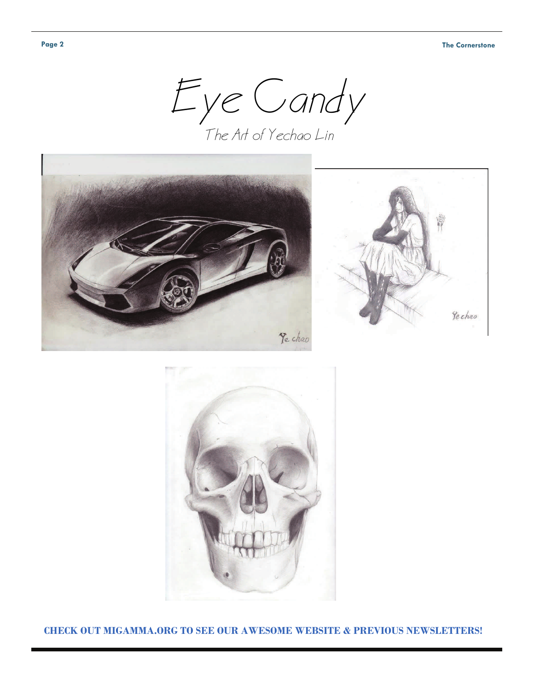Eye Candy The Art of Yechao Lin





**CHECK OUT MIGAMMA.ORG TO SEE OUR AWESOME WEBSITE & PREVIOUS NEWSLETTERS!**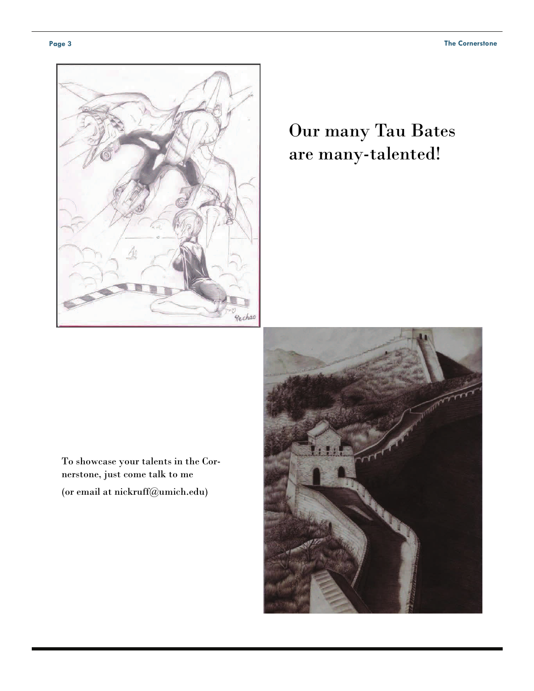

### Our many Tau Bates are many-talented!

To showcase your talents in the Cornerstone, just come talk to me

(or email at nickruff@umich.edu)

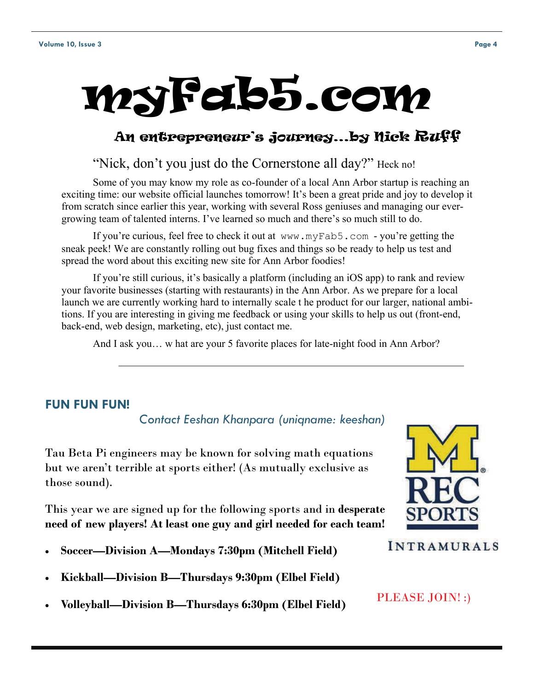# myFab5.com An entrepreneur's journey...by Nick Ruff

"Nick, don't you just do the Cornerstone all day?" Heck no!

 Some of you may know my role as co-founder of a local Ann Arbor startup is reaching an exciting time: our website official launches tomorrow! It's been a great pride and joy to develop it from scratch since earlier this year, working with several Ross geniuses and managing our evergrowing team of talented interns. I've learned so much and there's so much still to do.

 If you're curious, feel free to check it out at www.myFab5.com - you're getting the sneak peek! We are constantly rolling out bug fixes and things so be ready to help us test and spread the word about this exciting new site for Ann Arbor foodies!

 If you're still curious, it's basically a platform (including an iOS app) to rank and review your favorite businesses (starting with restaurants) in the Ann Arbor. As we prepare for a local launch we are currently working hard to internally scale t he product for our larger, national ambitions. If you are interesting in giving me feedback or using your skills to help us out (front-end, back-end, web design, marketing, etc), just contact me.

And I ask you… w hat are your 5 favorite places for late-night food in Ann Arbor?

#### **FUN FUN FUN!**

 *Contact Eeshan Khanpara (uniqname: keeshan)* 

Tau Beta Pi engineers may be known for solving math equations but we aren't terrible at sports either! (As mutually exclusive as those sound).

This year we are signed up for the following sports and in **desperate need of new players! At least one guy and girl needed for each team!** 

- **Soccer—Division A—Mondays 7:30pm (Mitchell Field)**
- **Kickball—Division B—Thursdays 9:30pm (Elbel Field)**
- **Volleyball—Division B—Thursdays 6:30pm (Elbel Field)** PLEASE JOIN! :)



#### **INTRAMURALS**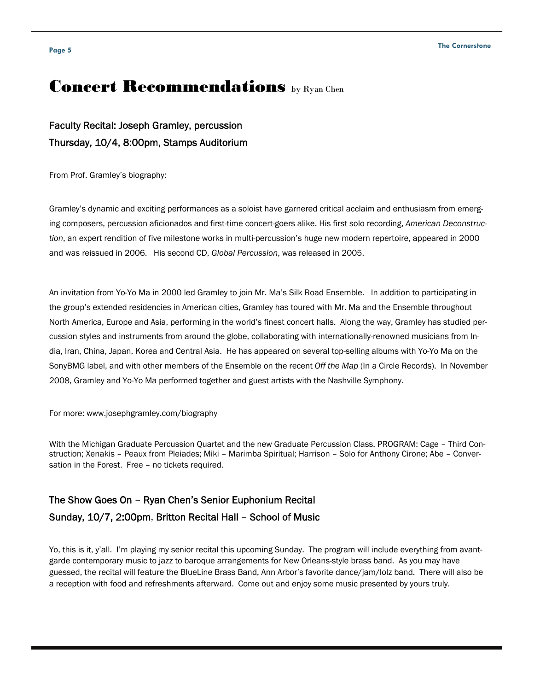#### Concert Recommendations by Ryan Chen

Faculty Recital: Joseph Gramley, percussion Thursday, 10/4, 8:00pm, Stamps Auditorium

From Prof. Gramley's biography:

Gramley's dynamic and exciting performances as a soloist have garnered critical acclaim and enthusiasm from emerging composers, percussion aficionados and first-time concert-goers alike. His first solo recording, *American Deconstruction*, an expert rendition of five milestone works in multi-percussion's huge new modern repertoire, appeared in 2000 and was reissued in 2006. His second CD, *Global Percussion*, was released in 2005.

An invitation from Yo-Yo Ma in 2000 led Gramley to join Mr. Ma's Silk Road Ensemble. In addition to participating in the group's extended residencies in American cities, Gramley has toured with Mr. Ma and the Ensemble throughout North America, Europe and Asia, performing in the world's finest concert halls. Along the way, Gramley has studied percussion styles and instruments from around the globe, collaborating with internationally-renowned musicians from India, Iran, China, Japan, Korea and Central Asia. He has appeared on several top-selling albums with Yo-Yo Ma on the SonyBMG label, and with other members of the Ensemble on the recent *Off the Map* (In a Circle Records). In November 2008, Gramley and Yo-Yo Ma performed together and guest artists with the Nashville Symphony.

For more: www.josephgramley.com/biography

With the Michigan Graduate Percussion Quartet and the new Graduate Percussion Class. PROGRAM: Cage – Third Construction; Xenakis – Peaux from Pleiades; Miki – Marimba Spiritual; Harrison – Solo for Anthony Cirone; Abe – Conversation in the Forest. Free – no tickets required.

#### The Show Goes On – Ryan Chen's Senior Euphonium Recital Sunday, 10/7, 2:00pm, Britton Recital Hall – School of Music

Yo, this is it, y'all. I'm playing my senior recital this upcoming Sunday. The program will include everything from avantgarde contemporary music to jazz to baroque arrangements for New Orleans-style brass band. As you may have guessed, the recital will feature the BlueLine Brass Band, Ann Arbor's favorite dance/jam/lolz band. There will also be a reception with food and refreshments afterward. Come out and enjoy some music presented by yours truly.